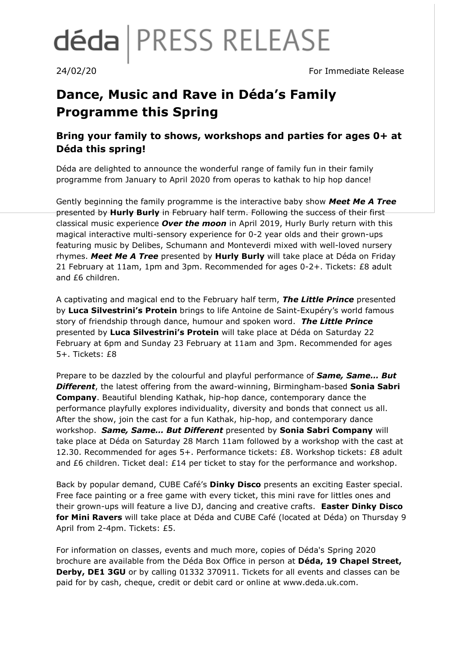# déda | PRESS RELEASE

24/02/20 For Immediate Release

## **Dance, Music and Rave in Déda's Family Programme this Spring**

### **Bring your family to shows, workshops and parties for ages 0+ at Déda this spring!**

Déda are delighted to announce the wonderful range of family fun in their family programme from January to April 2020 from operas to kathak to hip hop dance!

Gently beginning the family programme is the interactive baby show *Meet Me A Tree* presented by **Hurly Burly** in February half term. Following the success of their first classical music experience *Over the moon* in April 2019, Hurly Burly return with this magical interactive multi-sensory experience for 0-2 year olds and their grown-ups featuring music by Delibes, Schumann and Monteverdi mixed with well-loved nursery rhymes. *Meet Me A Tree* presented by **Hurly Burly** will take place at Déda on Friday 21 February at 11am, 1pm and 3pm. Recommended for ages 0-2+. Tickets: £8 adult and £6 children.

A captivating and magical end to the February half term, *The Little Prince* presented by **Luca Silvestrini's Protein** brings to life Antoine de Saint-Exupéry's world famous story of friendship through dance, humour and spoken word. *The Little Prince* presented by **Luca Silvestrini's Protein** will take place at Déda on Saturday 22 February at 6pm and Sunday 23 February at 11am and 3pm. Recommended for ages 5+. Tickets: £8

Prepare to be dazzled by the colourful and playful performance of *Same, Same… But Different*, the latest offering from the award-winning, Birmingham-based **Sonia Sabri Company**. Beautiful blending Kathak, hip-hop dance, contemporary dance the performance playfully explores individuality, diversity and bonds that connect us all. After the show, join the cast for a fun Kathak, hip-hop, and contemporary dance workshop. *Same, Same… But Different* presented by **Sonia Sabri Company** will take place at Déda on Saturday 28 March 11am followed by a workshop with the cast at 12.30. Recommended for ages 5+. Performance tickets: £8. Workshop tickets: £8 adult and £6 children. Ticket deal: £14 per ticket to stay for the performance and workshop.

Back by popular demand, CUBE Café's **Dinky Disco** presents an exciting Easter special. Free face painting or a free game with every ticket, this mini rave for littles ones and their grown-ups will feature a live DJ, dancing and creative crafts. **Easter Dinky Disco for Mini Ravers** will take place at Déda and CUBE Café (located at Déda) on Thursday 9 April from 2-4pm. Tickets: £5.

For information on classes, events and much more, copies of Déda's Spring 2020 brochure are available from the Déda Box Office in person at **Déda, 19 Chapel Street, Derby, DE1 3GU** or by calling 01332 370911. Tickets for all events and classes can be paid for by cash, cheque, credit or debit card or online at www.deda.uk.com.